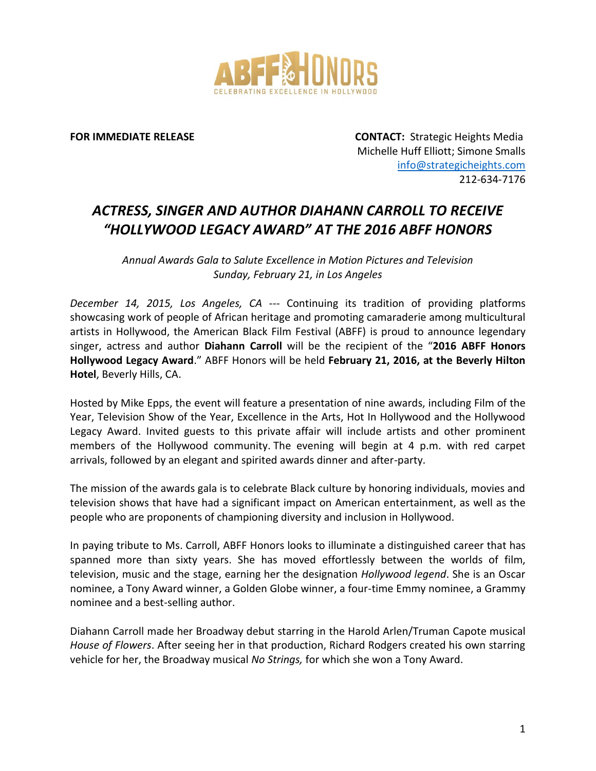

**FOR IMMEDIATE RELEASE CONTACT:** Strategic Heights Media Michelle Huff Elliott; Simone Smalls [info@strategicheights.com](mailto:info@strategicheights.com) 212-634-7176

## *ACTRESS, SINGER AND AUTHOR DIAHANN CARROLL TO RECEIVE "HOLLYWOOD LEGACY AWARD" AT THE 2016 ABFF HONORS*

*Annual Awards Gala to Salute Excellence in Motion Pictures and Television Sunday, February 21, in Los Angeles*

*December 14, 2015, Los Angeles, CA* --- Continuing its tradition of providing platforms showcasing work of people of African heritage and promoting camaraderie among multicultural artists in Hollywood, the American Black Film Festival (ABFF) is proud to announce legendary singer, actress and author **Diahann Carroll** will be the recipient of the "**2016 ABFF Honors Hollywood Legacy Award**." ABFF Honors will be held **February 21, 2016, at the Beverly Hilton Hotel**, Beverly Hills, CA.

Hosted by Mike Epps, the event will feature a presentation of nine awards, including Film of the Year, Television Show of the Year, Excellence in the Arts, Hot In Hollywood and the Hollywood Legacy Award. Invited guests to this private affair will include artists and other prominent members of the Hollywood community. The evening will begin at 4 p.m. with red carpet arrivals, followed by an elegant and spirited awards dinner and after-party.

The mission of the awards gala is to celebrate Black culture by honoring individuals, movies and television shows that have had a significant impact on American entertainment, as well as the people who are proponents of championing diversity and inclusion in Hollywood.

In paying tribute to Ms. Carroll, ABFF Honors looks to illuminate a distinguished career that has spanned more than sixty years. She has moved effortlessly between the worlds of film, television, music and the stage, earning her the designation *Hollywood legend*. She is an Oscar nominee, a Tony Award winner, a Golden Globe winner, a four-time Emmy nominee, a Grammy nominee and a best-selling author.

Diahann Carroll made her Broadway debut starring in the Harold Arlen/Truman Capote musical *House of Flowers*. After seeing her in that production, Richard Rodgers created his own starring vehicle for her, the Broadway musical *No Strings,* for which she won a Tony Award.